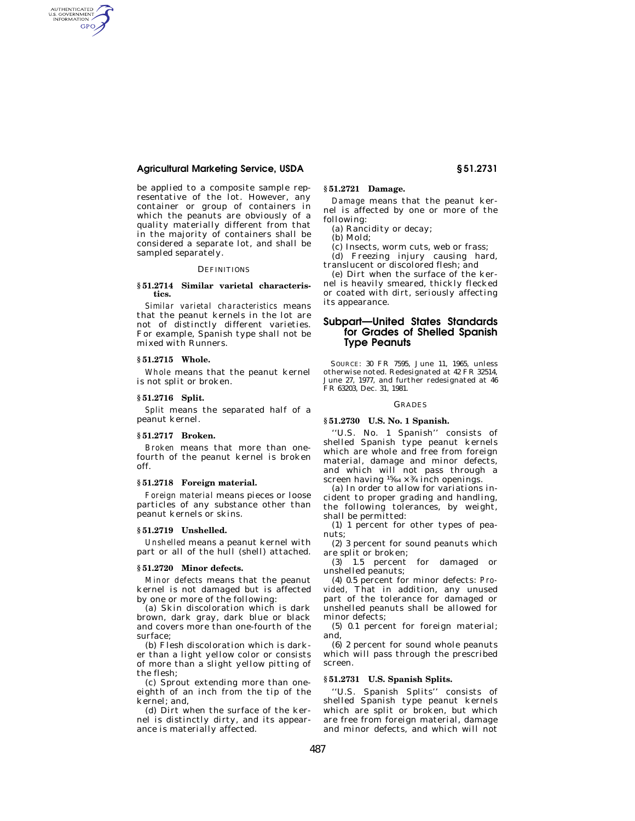# **Agricultural Marketing Service, USDA § 51.2731**

be applied to a composite sample representative of the lot. However, any container or group of containers in which the peanuts are obviously of a quality materially different from that in the majority of containers shall be considered a separate lot, and shall be sampled separately.

## **DEFINITIONS**

# **§ 51.2714 Similar varietal characteristics.**

*Similar varietal characteristics* means that the peanut kernels in the lot are not of distinctly different varieties. For example, Spanish type shall not be mixed with Runners.

### **§ 51.2715 Whole.**

AUTHENTICATED<br>U.S. GOVERNMENT<br>INFORMATION **GPO** 

> *Whole* means that the peanut kernel is not split or broken.

## **§ 51.2716 Split.**

*Split* means the separated half of a peanut kernel.

## **§ 51.2717 Broken.**

*Broken* means that more than onefourth of the peanut kernel is broken off.

## **§ 51.2718 Foreign material.**

*Foreign material* means pieces or loose particles of any substance other than peanut kernels or skins.

## **§ 51.2719 Unshelled.**

*Unshelled* means a peanut kernel with part or all of the hull (shell) attached.

## **§ 51.2720 Minor defects.**

*Minor defects* means that the peanut kernel is not damaged but is affected by one or more of the following:

(a) Skin discoloration which is dark brown, dark gray, dark blue or black and covers more than one-fourth of the surface;

(b) Flesh discoloration which is darker than a light yellow color or consists of more than a slight yellow pitting of the flesh;

(c) Sprout extending more than oneeighth of an inch from the tip of the kernel; and,

(d) Dirt when the surface of the kernel is distinctly dirty, and its appearance is materially affected.

# **§ 51.2721 Damage.**

*Damage* means that the peanut kernel is affected by one or more of the following:

(a) Rancidity or decay;

(b) Mold;

(c) Insects, worm cuts, web or frass; (d) Freezing injury causing hard,

translucent or discolored flesh; and

(e) Dirt when the surface of the kernel is heavily smeared, thickly flecked or coated with dirt, seriously affecting its appearance.

# **Subpart—United States Standards for Grades of Shelled Spanish Type Peanuts**

SOURCE: 30 FR 7595, June 11, 1965, unless otherwise noted. Redesignated at 42 FR 32514, June 27, 1977, and further redesignated at 46 FR 63203, Dec. 31, 1981.

## GRADES

# **§ 51.2730 U.S. No. 1 Spanish.**

''U.S. No. 1 Spanish'' consists of shelled Spanish type peanut kernels which are whole and free from foreign material, damage and minor defects, and which will not pass through a screen having  $15/64 \times 3/4$  inch openings.

(a) In order to allow for variations incident to proper grading and handling, the following tolerances, by weight, shall be permitted:

(1) 1 percent for other types of peanuts;

(2) 3 percent for sound peanuts which are split or broken;

(3) 1.5 percent for damaged or unshelled peanuts;

(4) 0.5 percent for minor defects: *Provided,* That in addition, any unused part of the tolerance for damaged or unshelled peanuts shall be allowed for minor defects;

(5) 0.1 percent for foreign material; and,

(6) 2 percent for sound whole peanuts which will pass through the prescribed screen.

# **§ 51.2731 U.S. Spanish Splits.**

''U.S. Spanish Splits'' consists of shelled Spanish type peanut kernels which are split or broken, but which are free from foreign material, damage and minor defects, and which will not